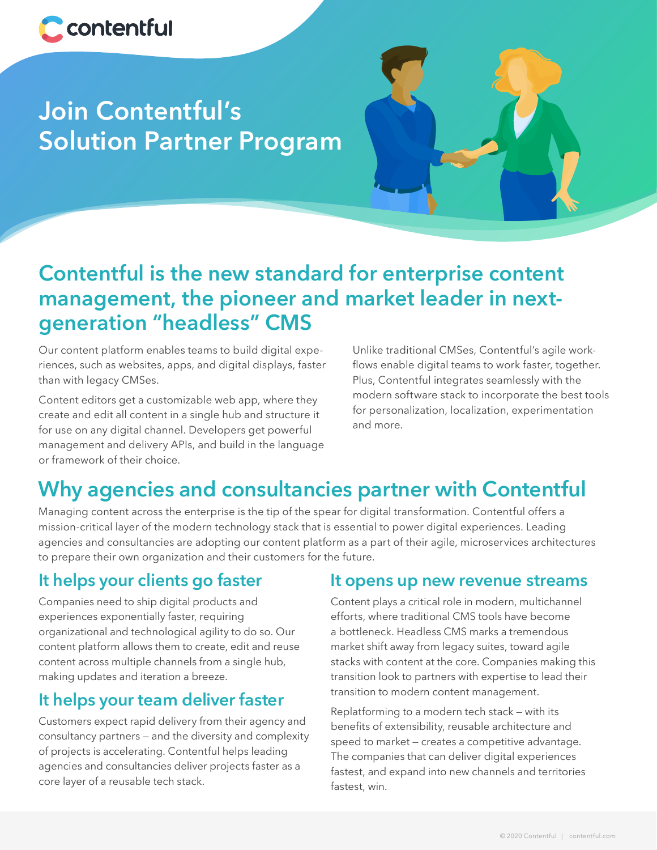

# **Join Contentful's Solution Partner Program**



## **Contentful is the new standard for enterprise content management, the pioneer and market leader in nextgeneration "headless" CMS**

Our content platform enables teams to build digital experiences, such as websites, apps, and digital displays, faster than with legacy CMSes.

Content editors get a customizable web app, where they create and edit all content in a single hub and structure it for use on any digital channel. Developers get powerful management and delivery APIs, and build in the language or framework of their choice.

Unlike traditional CMSes, Contentful's agile workflows enable digital teams to work faster, together. Plus, Contentful integrates seamlessly with the modern software stack to incorporate the best tools for personalization, localization, experimentation and more.

## **Why agencies and consultancies partner with Contentful**

Managing content across the enterprise is the tip of the spear for digital transformation. Contentful offers a mission-critical layer of the modern technology stack that is essential to power digital experiences. Leading agencies and consultancies are adopting our content platform as a part of their agile, microservices architectures to prepare their own organization and their customers for the future.

## **It helps your clients go faster**

Companies need to ship digital products and experiences exponentially faster, requiring organizational and technological agility to do so. Our content platform allows them to create, edit and reuse content across multiple channels from a single hub, making updates and iteration a breeze.

## **It helps your team deliver faster**

Customers expect rapid delivery from their agency and consultancy partners — and the diversity and complexity of projects is accelerating. Contentful helps leading agencies and consultancies deliver projects faster as a core layer of a reusable tech stack.

### **It opens up new revenue streams**

Content plays a critical role in modern, multichannel efforts, where traditional CMS tools have become a bottleneck. Headless CMS marks a tremendous market shift away from legacy suites, toward agile stacks with content at the core. Companies making this transition look to partners with expertise to lead their transition to modern content management.

Replatforming to a modern tech stack — with its benefits of extensibility, reusable architecture and speed to market — creates a competitive advantage. The companies that can deliver digital experiences fastest, and expand into new channels and territories fastest, win.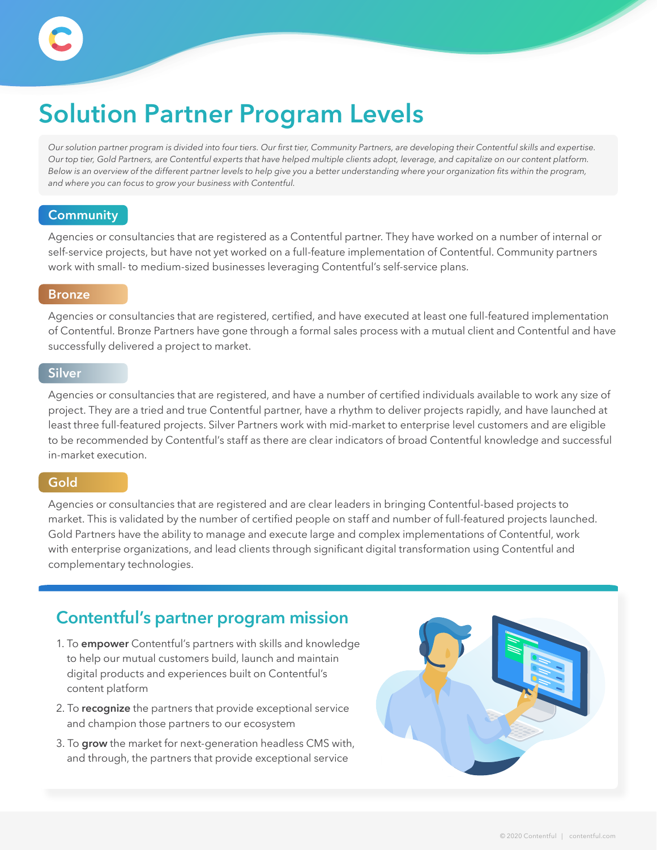# **Solution Partner Program Levels**

*Our solution partner program is divided into four tiers. Our first tier, Community Partners, are developing their Contentful skills and expertise. Our top tier, Gold Partners, are Contentful experts that have helped multiple clients adopt, leverage, and capitalize on our content platform. Below is an overview of the different partner levels to help give you a better understanding where your organization fits within the program, and where you can focus to grow your business with Contentful.*

### **Community**

Agencies or consultancies that are registered as a Contentful partner. They have worked on a number of internal or self-service projects, but have not yet worked on a full-feature implementation of Contentful. Community partners work with small- to medium-sized businesses leveraging Contentful's self-service plans.

### **Bronze**

Agencies or consultancies that are registered, certified, and have executed at least one full-featured implementation of Contentful. Bronze Partners have gone through a formal sales process with a mutual client and Contentful and have successfully delivered a project to market.

### **Silver**

Agencies or consultancies that are registered, and have a number of certified individuals available to work any size of project. They are a tried and true Contentful partner, have a rhythm to deliver projects rapidly, and have launched at least three full-featured projects. Silver Partners work with mid-market to enterprise level customers and are eligible to be recommended by Contentful's staff as there are clear indicators of broad Contentful knowledge and successful in-market execution.

### **Gold**

Agencies or consultancies that are registered and are clear leaders in bringing Contentful-based projects to market. This is validated by the number of certified people on staff and number of full-featured projects launched. Gold Partners have the ability to manage and execute large and complex implementations of Contentful, work with enterprise organizations, and lead clients through significant digital transformation using Contentful and complementary technologies.

### **Contentful's partner program mission**

- 1. To **empower** Contentful's partners with skills and knowledge to help our mutual customers build, launch and maintain digital products and experiences built on Contentful's content platform
- 2. To **recognize** the partners that provide exceptional service and champion those partners to our ecosystem
- 3. To **grow** the market for next-generation headless CMS with, and through, the partners that provide exceptional service